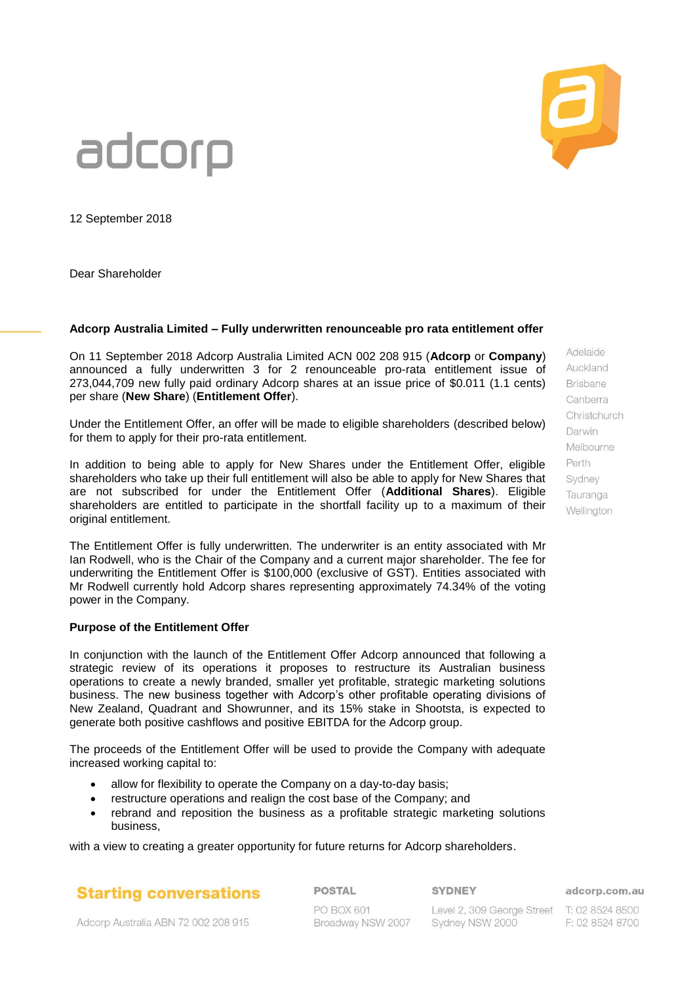

12 September 2018

Dear Shareholder

#### **Adcorp Australia Limited – Fully underwritten renounceable pro rata entitlement offer**

On 11 September 2018 Adcorp Australia Limited ACN 002 208 915 (**Adcorp** or **Company**) announced a fully underwritten 3 for 2 renounceable pro-rata entitlement issue of 273,044,709 new fully paid ordinary Adcorp shares at an issue price of \$0.011 (1.1 cents) per share (**New Share**) (**Entitlement Offer**).

Under the Entitlement Offer, an offer will be made to eligible shareholders (described below) for them to apply for their pro-rata entitlement.

In addition to being able to apply for New Shares under the Entitlement Offer, eligible shareholders who take up their full entitlement will also be able to apply for New Shares that are not subscribed for under the Entitlement Offer (**Additional Shares**). Eligible shareholders are entitled to participate in the shortfall facility up to a maximum of their original entitlement.

The Entitlement Offer is fully underwritten. The underwriter is an entity associated with Mr Ian Rodwell, who is the Chair of the Company and a current major shareholder. The fee for underwriting the Entitlement Offer is \$100,000 (exclusive of GST). Entities associated with Mr Rodwell currently hold Adcorp shares representing approximately 74.34% of the voting power in the Company.

#### **Purpose of the Entitlement Offer**

In conjunction with the launch of the Entitlement Offer Adcorp announced that following a strategic review of its operations it proposes to restructure its Australian business operations to create a newly branded, smaller yet profitable, strategic marketing solutions business. The new business together with Adcorp's other profitable operating divisions of New Zealand, Quadrant and Showrunner, and its 15% stake in Shootsta, is expected to generate both positive cashflows and positive EBITDA for the Adcorp group.

The proceeds of the Entitlement Offer will be used to provide the Company with adequate increased working capital to:

- allow for flexibility to operate the Company on a day-to-day basis;
- restructure operations and realign the cost base of the Company; and
- rebrand and reposition the business as a profitable strategic marketing solutions business,

with a view to creating a greater opportunity for future returns for Adcorp shareholders.

**Starting conversations** 

**POSTAL** 

**SYDNEY** 

PO BOX 601 Broadway NSW 2007

Level 2, 309 George Street T: 02 8524 8500 Sydney NSW 2000

adcorp.com.au

F: 02 8524 8700

Adcorp Australia ABN 72 002 208 915

**Brisbane** Canberra Christchurch Darwin Melbourne Perth Sydney Tauranga Wellington

Adelaide Auckland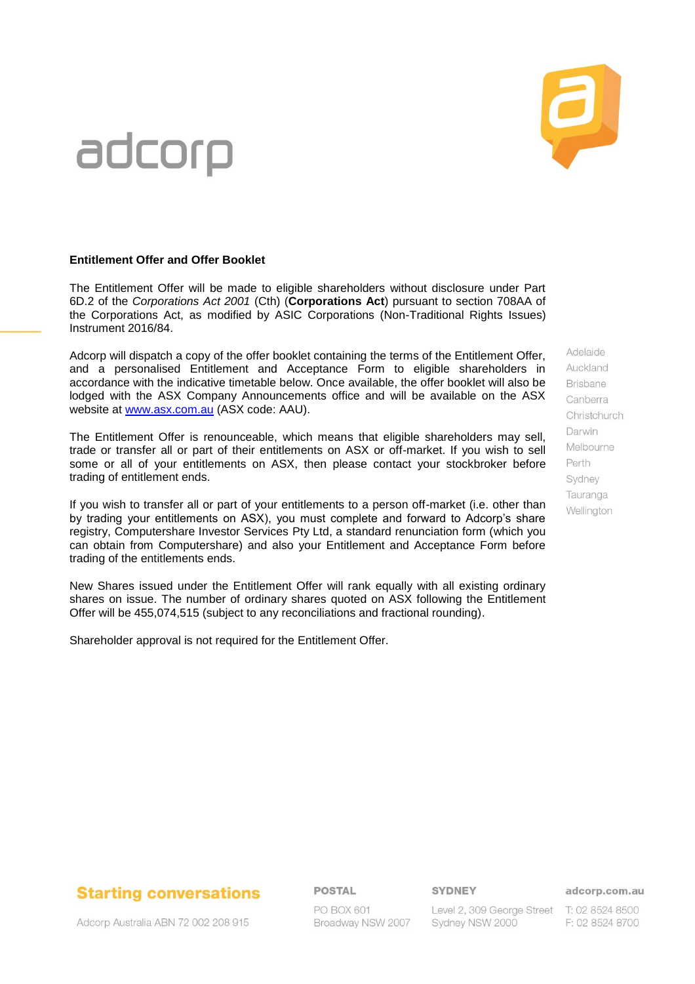## **Starting conversations**

Adcorp Australia ABN 72 002 208 915

### **POSTAL**

PO BOX 601 Broadway NSW 2007 **SYDNEY** 

Sydney NSW 2000

#### adcorp.com.au

Level 2, 309 George Street T: 02 8524 8500 F: 02 8524 8700

# adcorp

### **Entitlement Offer and Offer Booklet**

The Entitlement Offer will be made to eligible shareholders without disclosure under Part 6D.2 of the *Corporations Act 2001* (Cth) (**Corporations Act**) pursuant to section 708AA of the Corporations Act, as modified by ASIC Corporations (Non-Traditional Rights Issues) Instrument 2016/84.

Adcorp will dispatch a copy of the offer booklet containing the terms of the Entitlement Offer, and a personalised Entitlement and Acceptance Form to eligible shareholders in accordance with the indicative timetable below. Once available, the offer booklet will also be lodged with the ASX Company Announcements office and will be available on the ASX website at [www.asx.com.au](http://www.asx.com.au/) (ASX code: AAU).

The Entitlement Offer is renounceable, which means that eligible shareholders may sell, trade or transfer all or part of their entitlements on ASX or off-market. If you wish to sell some or all of your entitlements on ASX, then please contact your stockbroker before trading of entitlement ends.

If you wish to transfer all or part of your entitlements to a person off-market (i.e. other than by trading your entitlements on ASX), you must complete and forward to Adcorp's share registry, Computershare Investor Services Pty Ltd, a standard renunciation form (which you can obtain from Computershare) and also your Entitlement and Acceptance Form before trading of the entitlements ends.

New Shares issued under the Entitlement Offer will rank equally with all existing ordinary shares on issue. The number of ordinary shares quoted on ASX following the Entitlement Offer will be 455,074,515 (subject to any reconciliations and fractional rounding).

Shareholder approval is not required for the Entitlement Offer.

Adelaide Auckland **Brisbane** Canberra Christchurch Darwin Melbourne Perth Sydney Tauranga Wellington

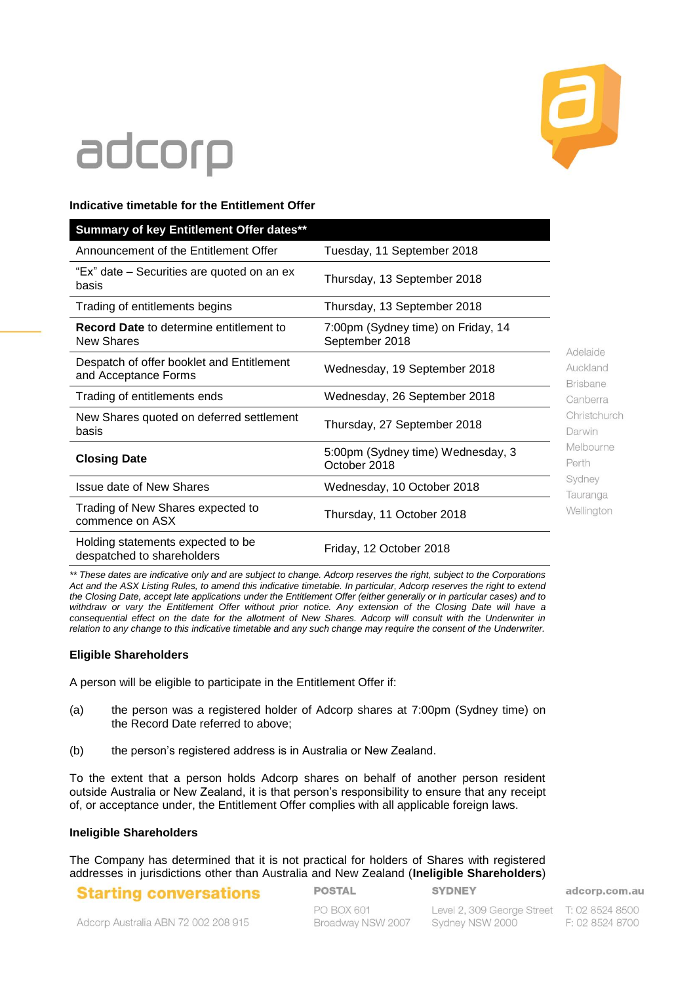

### **Indicative timetable for the Entitlement Offer**

| Summary of key Entitlement Offer dates**                            |                                                      |                                                                                                                                         |
|---------------------------------------------------------------------|------------------------------------------------------|-----------------------------------------------------------------------------------------------------------------------------------------|
| Announcement of the Entitlement Offer                               | Tuesday, 11 September 2018                           |                                                                                                                                         |
| "Ex" date – Securities are quoted on an ex<br>basis                 | Thursday, 13 September 2018                          |                                                                                                                                         |
| Trading of entitlements begins                                      | Thursday, 13 September 2018                          | Adelaide<br>Auckland<br><b>Brisbane</b><br>Canberra<br>Christchurch<br>Darwin<br>Melbourne<br>Perth<br>Sydney<br>Tauranga<br>Wellington |
| <b>Record Date to determine entitlement to</b><br><b>New Shares</b> | 7:00pm (Sydney time) on Friday, 14<br>September 2018 |                                                                                                                                         |
| Despatch of offer booklet and Entitlement<br>and Acceptance Forms   | Wednesday, 19 September 2018                         |                                                                                                                                         |
| Trading of entitlements ends                                        | Wednesday, 26 September 2018                         |                                                                                                                                         |
| New Shares quoted on deferred settlement<br>basis                   | Thursday, 27 September 2018                          |                                                                                                                                         |
| <b>Closing Date</b>                                                 | 5:00pm (Sydney time) Wednesday, 3<br>October 2018    |                                                                                                                                         |
| <b>Issue date of New Shares</b>                                     | Wednesday, 10 October 2018                           |                                                                                                                                         |
| Trading of New Shares expected to<br>commence on ASX                | Thursday, 11 October 2018                            |                                                                                                                                         |
| Holding statements expected to be<br>despatched to shareholders     | Friday, 12 October 2018                              |                                                                                                                                         |

*\*\* These dates are indicative only and are subject to change. Adcorp reserves the right, subject to the Corporations Act and the ASX Listing Rules, to amend this indicative timetable. In particular, Adcorp reserves the right to extend the Closing Date, accept late applications under the Entitlement Offer (either generally or in particular cases) and to withdraw or vary the Entitlement Offer without prior notice. Any extension of the Closing Date will have a consequential effect on the date for the allotment of New Shares. Adcorp will consult with the Underwriter in relation to any change to this indicative timetable and any such change may require the consent of the Underwriter.*

### **Eligible Shareholders**

A person will be eligible to participate in the Entitlement Offer if:

- (a) the person was a registered holder of Adcorp shares at 7:00pm (Sydney time) on the Record Date referred to above;
- (b) the person's registered address is in Australia or New Zealand.

To the extent that a person holds Adcorp shares on behalf of another person resident outside Australia or New Zealand, it is that person's responsibility to ensure that any receipt of, or acceptance under, the Entitlement Offer complies with all applicable foreign laws.

#### **Ineligible Shareholders**

The Company has determined that it is not practical for holders of Shares with registered addresses in jurisdictions other than Australia and New Zealand (**Ineligible Shareholders**)

### **Starting conversations**

**POSTAL** 

**SYDNEY** 

PO BOX 601 Broadway NSW 2007

Level 2, 309 George Street T: 02 8524 8500 Sydney NSW 2000

adcorp.com.au

F: 02 8524 8700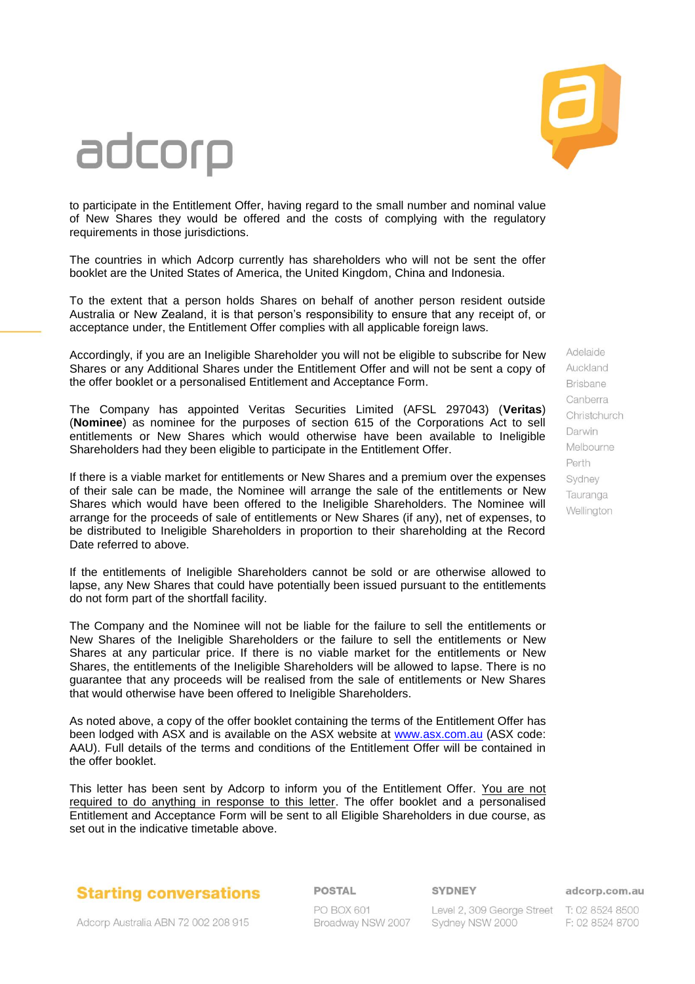

to participate in the Entitlement Offer, having regard to the small number and nominal value of New Shares they would be offered and the costs of complying with the regulatory requirements in those jurisdictions.

The countries in which Adcorp currently has shareholders who will not be sent the offer booklet are the United States of America, the United Kingdom, China and Indonesia.

To the extent that a person holds Shares on behalf of another person resident outside Australia or New Zealand, it is that person's responsibility to ensure that any receipt of, or acceptance under, the Entitlement Offer complies with all applicable foreign laws.

Accordingly, if you are an Ineligible Shareholder you will not be eligible to subscribe for New Shares or any Additional Shares under the Entitlement Offer and will not be sent a copy of the offer booklet or a personalised Entitlement and Acceptance Form.

The Company has appointed Veritas Securities Limited (AFSL 297043) (**Veritas**) (**Nominee**) as nominee for the purposes of section 615 of the Corporations Act to sell entitlements or New Shares which would otherwise have been available to Ineligible Shareholders had they been eligible to participate in the Entitlement Offer.

If there is a viable market for entitlements or New Shares and a premium over the expenses of their sale can be made, the Nominee will arrange the sale of the entitlements or New Shares which would have been offered to the Ineligible Shareholders. The Nominee will arrange for the proceeds of sale of entitlements or New Shares (if any), net of expenses, to be distributed to Ineligible Shareholders in proportion to their shareholding at the Record Date referred to above.

If the entitlements of Ineligible Shareholders cannot be sold or are otherwise allowed to lapse, any New Shares that could have potentially been issued pursuant to the entitlements do not form part of the shortfall facility.

The Company and the Nominee will not be liable for the failure to sell the entitlements or New Shares of the Ineligible Shareholders or the failure to sell the entitlements or New Shares at any particular price. If there is no viable market for the entitlements or New Shares, the entitlements of the Ineligible Shareholders will be allowed to lapse. There is no guarantee that any proceeds will be realised from the sale of entitlements or New Shares that would otherwise have been offered to Ineligible Shareholders.

As noted above, a copy of the offer booklet containing the terms of the Entitlement Offer has been lodged with ASX and is available on the ASX website at [www.asx.com.au](http://www.asx.com.au/) (ASX code: AAU). Full details of the terms and conditions of the Entitlement Offer will be contained in the offer booklet.

This letter has been sent by Adcorp to inform you of the Entitlement Offer. You are not required to do anything in response to this letter. The offer booklet and a personalised Entitlement and Acceptance Form will be sent to all Eligible Shareholders in due course, as set out in the indicative timetable above.

### **Starting conversations**

Adcorp Australia ABN 72 002 208 915

#### **POSTAL**

**SYDNEY** 

**PO BOX 601** Broadway NSW 2007

Level 2, 309 George Street T: 02 8524 8500 Sydney NSW 2000

Auckland **Brisbane** Canberra Christchurch Darwin Melbourne Perth Sydney Tauranga Wellington

Adelaide

adcorp.com.au

F: 02 8524 8700